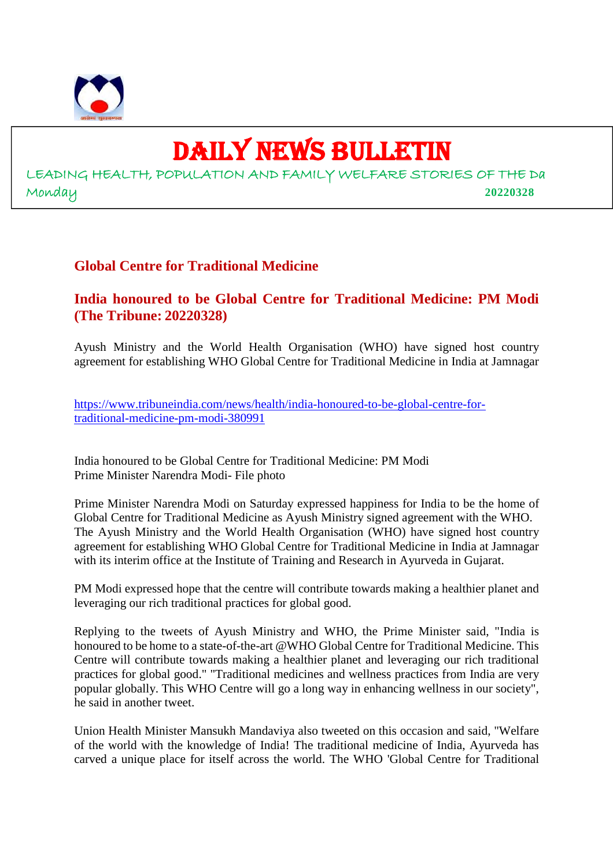

# DAILY NEWS BULLETIN

LEADING HEALTH, POPULATION AND FAMILY WELFARE STORIES OF THE Da Monday **20220328**

# **Global Centre for Traditional Medicine**

**India honoured to be Global Centre for Traditional Medicine: PM Modi (The Tribune: 20220328)**

Ayush Ministry and the World Health Organisation (WHO) have signed host country agreement for establishing WHO Global Centre for Traditional Medicine in India at Jamnagar

https://www.tribuneindia.com/news/health/india-honoured-to-be-global-centre-fortraditional-medicine-pm-modi-380991

India honoured to be Global Centre for Traditional Medicine: PM Modi Prime Minister Narendra Modi- File photo

Prime Minister Narendra Modi on Saturday expressed happiness for India to be the home of Global Centre for Traditional Medicine as Ayush Ministry signed agreement with the WHO. The Ayush Ministry and the World Health Organisation (WHO) have signed host country agreement for establishing WHO Global Centre for Traditional Medicine in India at Jamnagar with its interim office at the Institute of Training and Research in Ayurveda in Gujarat.

PM Modi expressed hope that the centre will contribute towards making a healthier planet and leveraging our rich traditional practices for global good.

Replying to the tweets of Ayush Ministry and WHO, the Prime Minister said, "India is honoured to be home to a state-of-the-art @WHO Global Centre for Traditional Medicine. This Centre will contribute towards making a healthier planet and leveraging our rich traditional practices for global good." "Traditional medicines and wellness practices from India are very popular globally. This WHO Centre will go a long way in enhancing wellness in our society", he said in another tweet.

Union Health Minister Mansukh Mandaviya also tweeted on this occasion and said, "Welfare of the world with the knowledge of India! The traditional medicine of India, Ayurveda has carved a unique place for itself across the world. The WHO 'Global Centre for Traditional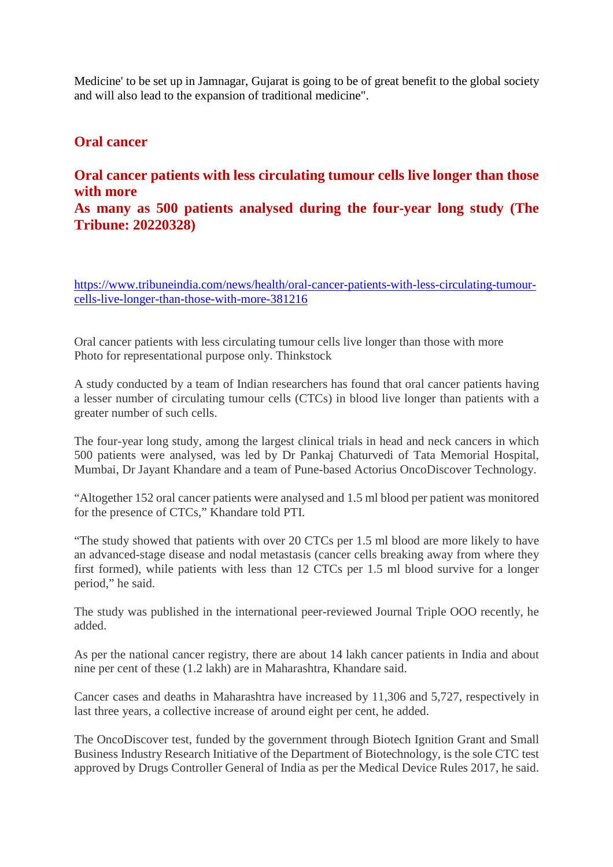Medicine' to be set up in Jamnagar, Gujarat is going to be of great benefit to the global society and will also lead to the expansion of traditional medicine".

#### **Oral cancer**

### **Oral cancer patients with less circulating tumour cells live longer than those with more**

### **As many as 500 patients analysed during the four-year long study (The Tribune: 20220328)**

https://www.tribuneindia.com/news/health/oral-cancer-patients-with-less-circulating-tumourcells-live-longer-than-those-with-more-381216

Oral cancer patients with less circulating tumour cells live longer than those with more Photo for representational purpose only. Thinkstock

A study conducted by a team of Indian researchers has found that oral cancer patients having a lesser number of circulating tumour cells (CTCs) in blood live longer than patients with a greater number of such cells.

The four-year long study, among the largest clinical trials in head and neck cancers in which 500 patients were analysed, was led by Dr Pankaj Chaturvedi of Tata Memorial Hospital, Mumbai, Dr Jayant Khandare and a team of Pune-based Actorius OncoDiscover Technology.

"Altogether 152 oral cancer patients were analysed and 1.5 ml blood per patient was monitored for the presence of CTCs," Khandare told PTI.

"The study showed that patients with over 20 CTCs per 1.5 ml blood are more likely to have an advanced-stage disease and nodal metastasis (cancer cells breaking away from where they first formed), while patients with less than 12 CTCs per 1.5 ml blood survive for a longer period," he said.

The study was published in the international peer-reviewed Journal Triple OOO recently, he added.

As per the national cancer registry, there are about 14 lakh cancer patients in India and about nine per cent of these (1.2 lakh) are in Maharashtra, Khandare said.

Cancer cases and deaths in Maharashtra have increased by 11,306 and 5,727, respectively in last three years, a collective increase of around eight per cent, he added.

The OncoDiscover test, funded by the government through Biotech Ignition Grant and Small Business Industry Research Initiative of the Department of Biotechnology, is the sole CTC test approved by Drugs Controller General of India as per the Medical Device Rules 2017, he said.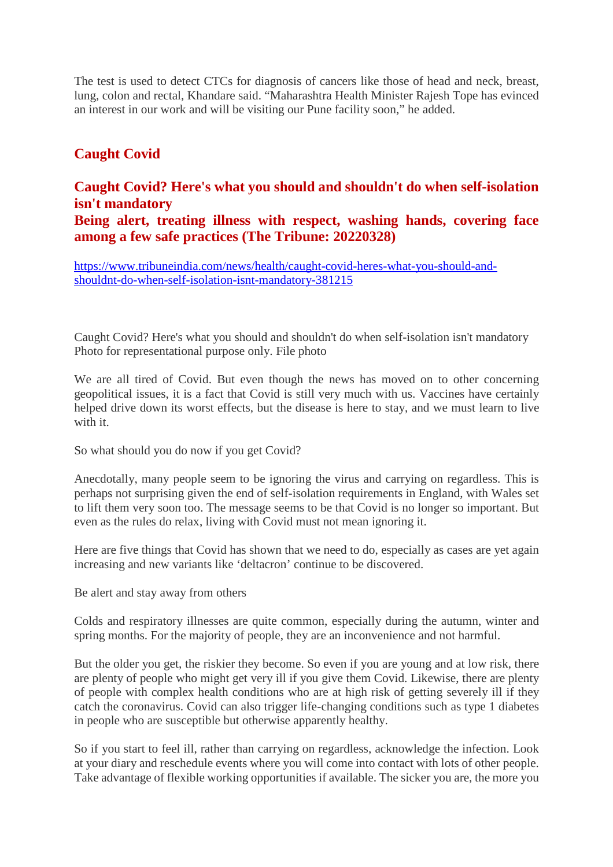The test is used to detect CTCs for diagnosis of cancers like those of head and neck, breast, lung, colon and rectal, Khandare said. "Maharashtra Health Minister Rajesh Tope has evinced an interest in our work and will be visiting our Pune facility soon," he added.

# **Caught Covid**

# **Caught Covid? Here's what you should and shouldn't do when self-isolation isn't mandatory Being alert, treating illness with respect, washing hands, covering face among a few safe practices (The Tribune: 20220328)**

https://www.tribuneindia.com/news/health/caught-covid-heres-what-you-should-andshouldnt-do-when-self-isolation-isnt-mandatory-381215

Caught Covid? Here's what you should and shouldn't do when self-isolation isn't mandatory Photo for representational purpose only. File photo

We are all tired of Covid. But even though the news has moved on to other concerning geopolitical issues, it is a fact that Covid is still very much with us. Vaccines have certainly helped drive down its worst effects, but the disease is here to stay, and we must learn to live with it.

So what should you do now if you get Covid?

Anecdotally, many people seem to be ignoring the virus and carrying on regardless. This is perhaps not surprising given the end of self-isolation requirements in England, with Wales set to lift them very soon too. The message seems to be that Covid is no longer so important. But even as the rules do relax, living with Covid must not mean ignoring it.

Here are five things that Covid has shown that we need to do, especially as cases are yet again increasing and new variants like 'deltacron' continue to be discovered.

Be alert and stay away from others

Colds and respiratory illnesses are quite common, especially during the autumn, winter and spring months. For the majority of people, they are an inconvenience and not harmful.

But the older you get, the riskier they become. So even if you are young and at low risk, there are plenty of people who might get very ill if you give them Covid. Likewise, there are plenty of people with complex health conditions who are at high risk of getting severely ill if they catch the coronavirus. Covid can also trigger life-changing conditions such as type 1 diabetes in people who are susceptible but otherwise apparently healthy.

So if you start to feel ill, rather than carrying on regardless, acknowledge the infection. Look at your diary and reschedule events where you will come into contact with lots of other people. Take advantage of flexible working opportunities if available. The sicker you are, the more you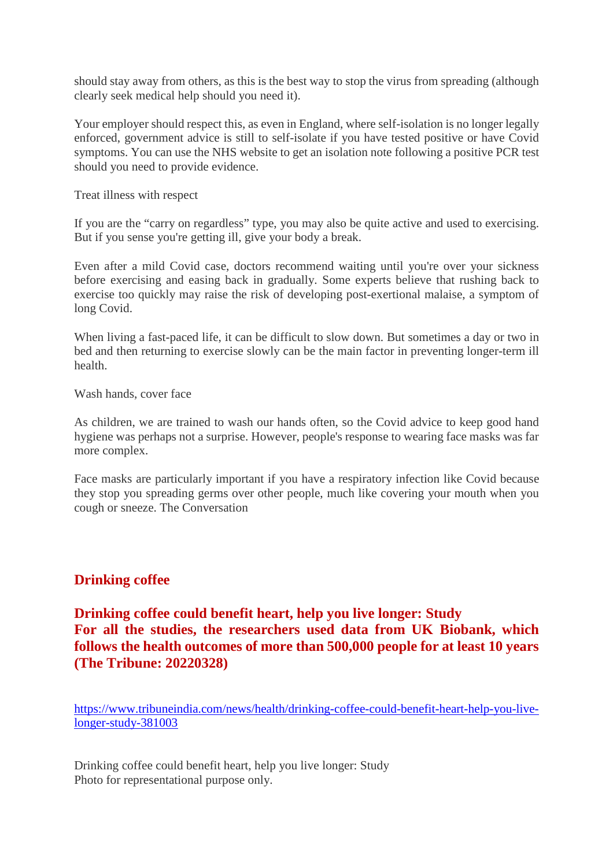should stay away from others, as this is the best way to stop the virus from spreading (although clearly seek medical help should you need it).

Your employer should respect this, as even in England, where self-isolation is no longer legally enforced, government advice is still to self-isolate if you have tested positive or have Covid symptoms. You can use the NHS website to get an isolation note following a positive PCR test should you need to provide evidence.

Treat illness with respect

If you are the "carry on regardless" type, you may also be quite active and used to exercising. But if you sense you're getting ill, give your body a break.

Even after a mild Covid case, doctors recommend waiting until you're over your sickness before exercising and easing back in gradually. Some experts believe that rushing back to exercise too quickly may raise the risk of developing post-exertional malaise, a symptom of long Covid.

When living a fast-paced life, it can be difficult to slow down. But sometimes a day or two in bed and then returning to exercise slowly can be the main factor in preventing longer-term ill health.

Wash hands, cover face

As children, we are trained to wash our hands often, so the Covid advice to keep good hand hygiene was perhaps not a surprise. However, people's response to wearing face masks was far more complex.

Face masks are particularly important if you have a respiratory infection like Covid because they stop you spreading germs over other people, much like covering your mouth when you cough or sneeze. The Conversation

# **Drinking coffee**

# **Drinking coffee could benefit heart, help you live longer: Study For all the studies, the researchers used data from UK Biobank, which follows the health outcomes of more than 500,000 people for at least 10 years (The Tribune: 20220328)**

https://www.tribuneindia.com/news/health/drinking-coffee-could-benefit-heart-help-you-livelonger-study-381003

Drinking coffee could benefit heart, help you live longer: Study Photo for representational purpose only.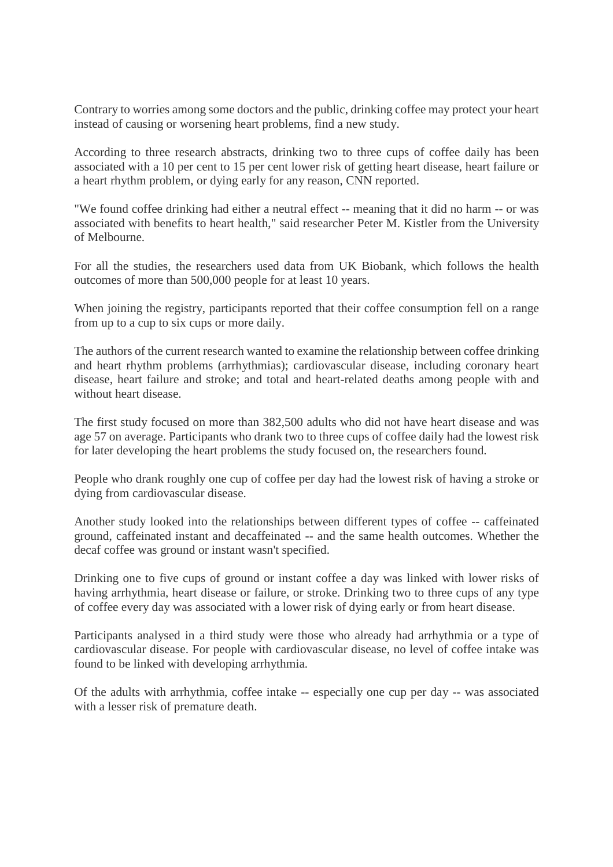Contrary to worries among some doctors and the public, drinking coffee may protect your heart instead of causing or worsening heart problems, find a new study.

According to three research abstracts, drinking two to three cups of coffee daily has been associated with a 10 per cent to 15 per cent lower risk of getting heart disease, heart failure or a heart rhythm problem, or dying early for any reason, CNN reported.

"We found coffee drinking had either a neutral effect -- meaning that it did no harm -- or was associated with benefits to heart health," said researcher Peter M. Kistler from the University of Melbourne.

For all the studies, the researchers used data from UK Biobank, which follows the health outcomes of more than 500,000 people for at least 10 years.

When joining the registry, participants reported that their coffee consumption fell on a range from up to a cup to six cups or more daily.

The authors of the current research wanted to examine the relationship between coffee drinking and heart rhythm problems (arrhythmias); cardiovascular disease, including coronary heart disease, heart failure and stroke; and total and heart-related deaths among people with and without heart disease.

The first study focused on more than 382,500 adults who did not have heart disease and was age 57 on average. Participants who drank two to three cups of coffee daily had the lowest risk for later developing the heart problems the study focused on, the researchers found.

People who drank roughly one cup of coffee per day had the lowest risk of having a stroke or dying from cardiovascular disease.

Another study looked into the relationships between different types of coffee -- caffeinated ground, caffeinated instant and decaffeinated -- and the same health outcomes. Whether the decaf coffee was ground or instant wasn't specified.

Drinking one to five cups of ground or instant coffee a day was linked with lower risks of having arrhythmia, heart disease or failure, or stroke. Drinking two to three cups of any type of coffee every day was associated with a lower risk of dying early or from heart disease.

Participants analysed in a third study were those who already had arrhythmia or a type of cardiovascular disease. For people with cardiovascular disease, no level of coffee intake was found to be linked with developing arrhythmia.

Of the adults with arrhythmia, coffee intake -- especially one cup per day -- was associated with a lesser risk of premature death.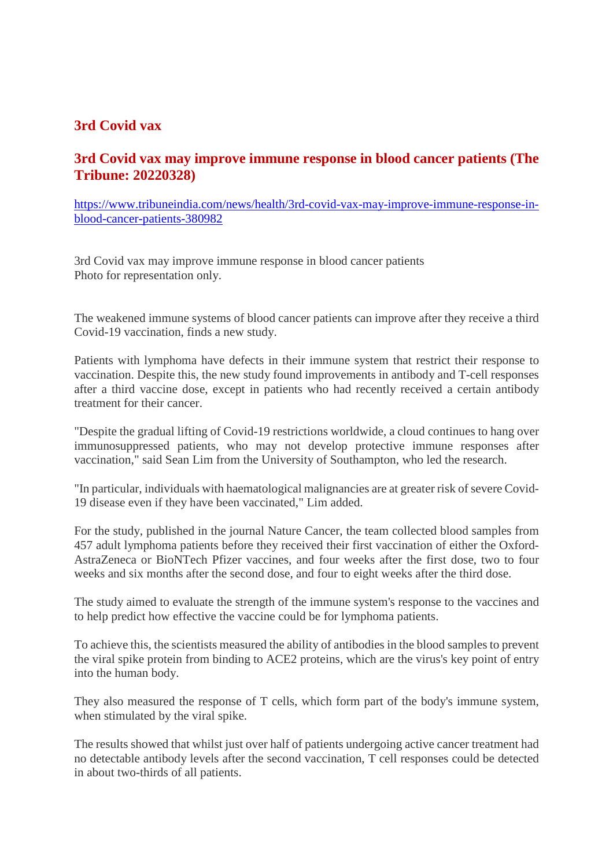# **3rd Covid vax**

# **3rd Covid vax may improve immune response in blood cancer patients (The Tribune: 20220328)**

https://www.tribuneindia.com/news/health/3rd-covid-vax-may-improve-immune-response-inblood-cancer-patients-380982

3rd Covid vax may improve immune response in blood cancer patients Photo for representation only.

The weakened immune systems of blood cancer patients can improve after they receive a third Covid-19 vaccination, finds a new study.

Patients with lymphoma have defects in their immune system that restrict their response to vaccination. Despite this, the new study found improvements in antibody and T-cell responses after a third vaccine dose, except in patients who had recently received a certain antibody treatment for their cancer.

"Despite the gradual lifting of Covid-19 restrictions worldwide, a cloud continues to hang over immunosuppressed patients, who may not develop protective immune responses after vaccination," said Sean Lim from the University of Southampton, who led the research.

"In particular, individuals with haematological malignancies are at greater risk of severe Covid-19 disease even if they have been vaccinated," Lim added.

For the study, published in the journal Nature Cancer, the team collected blood samples from 457 adult lymphoma patients before they received their first vaccination of either the Oxford-AstraZeneca or BioNTech Pfizer vaccines, and four weeks after the first dose, two to four weeks and six months after the second dose, and four to eight weeks after the third dose.

The study aimed to evaluate the strength of the immune system's response to the vaccines and to help predict how effective the vaccine could be for lymphoma patients.

To achieve this, the scientists measured the ability of antibodies in the blood samples to prevent the viral spike protein from binding to ACE2 proteins, which are the virus's key point of entry into the human body.

They also measured the response of T cells, which form part of the body's immune system, when stimulated by the viral spike.

The results showed that whilst just over half of patients undergoing active cancer treatment had no detectable antibody levels after the second vaccination, T cell responses could be detected in about two-thirds of all patients.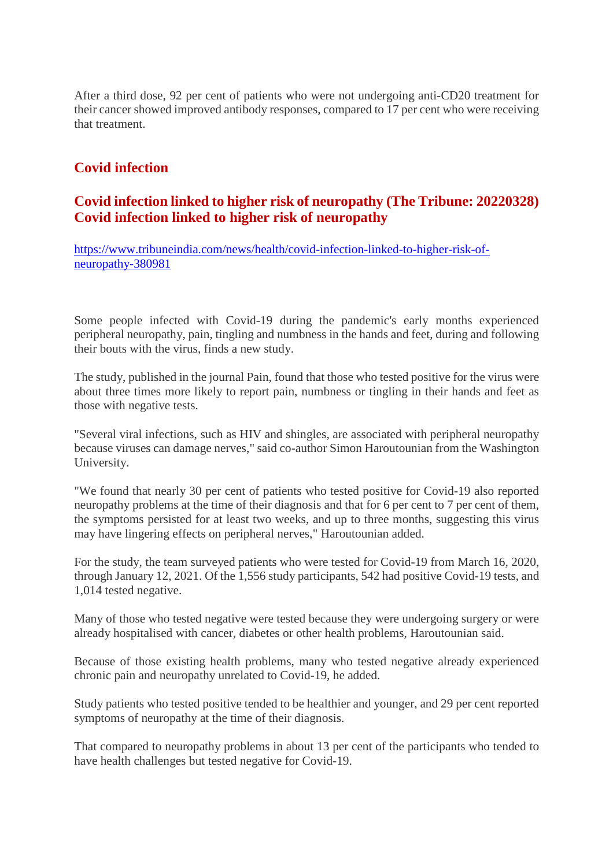After a third dose, 92 per cent of patients who were not undergoing anti-CD20 treatment for their cancer showed improved antibody responses, compared to 17 per cent who were receiving that treatment.

# **Covid infection**

### **Covid infection linked to higher risk of neuropathy (The Tribune: 20220328) Covid infection linked to higher risk of neuropathy**

https://www.tribuneindia.com/news/health/covid-infection-linked-to-higher-risk-ofneuropathy-380981

Some people infected with Covid-19 during the pandemic's early months experienced peripheral neuropathy, pain, tingling and numbness in the hands and feet, during and following their bouts with the virus, finds a new study.

The study, published in the journal Pain, found that those who tested positive for the virus were about three times more likely to report pain, numbness or tingling in their hands and feet as those with negative tests.

"Several viral infections, such as HIV and shingles, are associated with peripheral neuropathy because viruses can damage nerves," said co-author Simon Haroutounian from the Washington University.

"We found that nearly 30 per cent of patients who tested positive for Covid-19 also reported neuropathy problems at the time of their diagnosis and that for 6 per cent to 7 per cent of them, the symptoms persisted for at least two weeks, and up to three months, suggesting this virus may have lingering effects on peripheral nerves," Haroutounian added.

For the study, the team surveyed patients who were tested for Covid-19 from March 16, 2020, through January 12, 2021. Of the 1,556 study participants, 542 had positive Covid-19 tests, and 1,014 tested negative.

Many of those who tested negative were tested because they were undergoing surgery or were already hospitalised with cancer, diabetes or other health problems, Haroutounian said.

Because of those existing health problems, many who tested negative already experienced chronic pain and neuropathy unrelated to Covid-19, he added.

Study patients who tested positive tended to be healthier and younger, and 29 per cent reported symptoms of neuropathy at the time of their diagnosis.

That compared to neuropathy problems in about 13 per cent of the participants who tended to have health challenges but tested negative for Covid-19.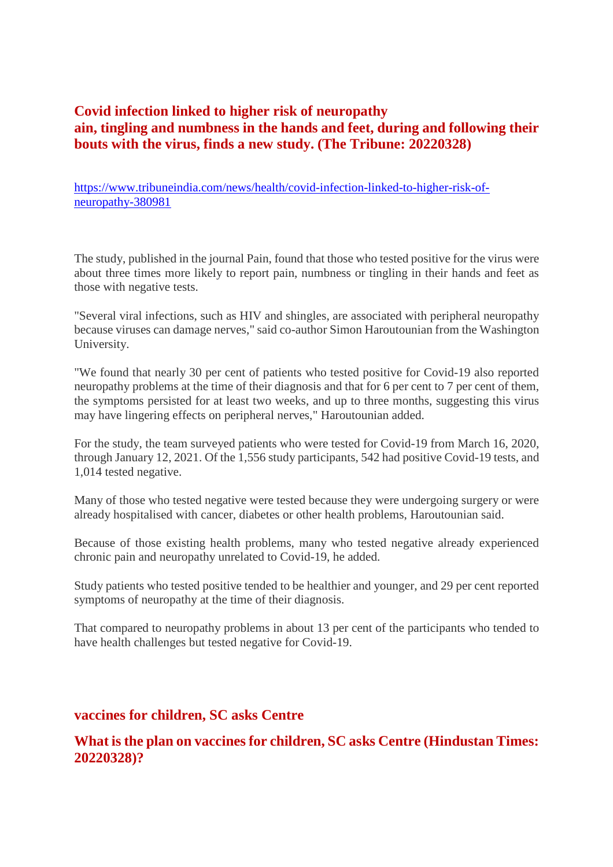# **Covid infection linked to higher risk of neuropathy ain, tingling and numbness in the hands and feet, during and following their bouts with the virus, finds a new study. (The Tribune: 20220328)**

https://www.tribuneindia.com/news/health/covid-infection-linked-to-higher-risk-ofneuropathy-380981

The study, published in the journal Pain, found that those who tested positive for the virus were about three times more likely to report pain, numbness or tingling in their hands and feet as those with negative tests.

"Several viral infections, such as HIV and shingles, are associated with peripheral neuropathy because viruses can damage nerves," said co-author Simon Haroutounian from the Washington University.

"We found that nearly 30 per cent of patients who tested positive for Covid-19 also reported neuropathy problems at the time of their diagnosis and that for 6 per cent to 7 per cent of them, the symptoms persisted for at least two weeks, and up to three months, suggesting this virus may have lingering effects on peripheral nerves," Haroutounian added.

For the study, the team surveyed patients who were tested for Covid-19 from March 16, 2020, through January 12, 2021. Of the 1,556 study participants, 542 had positive Covid-19 tests, and 1,014 tested negative.

Many of those who tested negative were tested because they were undergoing surgery or were already hospitalised with cancer, diabetes or other health problems, Haroutounian said.

Because of those existing health problems, many who tested negative already experienced chronic pain and neuropathy unrelated to Covid-19, he added.

Study patients who tested positive tended to be healthier and younger, and 29 per cent reported symptoms of neuropathy at the time of their diagnosis.

That compared to neuropathy problems in about 13 per cent of the participants who tended to have health challenges but tested negative for Covid-19.

#### **vaccines for children, SC asks Centre**

### **What is the plan on vaccines for children, SC asks Centre (Hindustan Times: 20220328)?**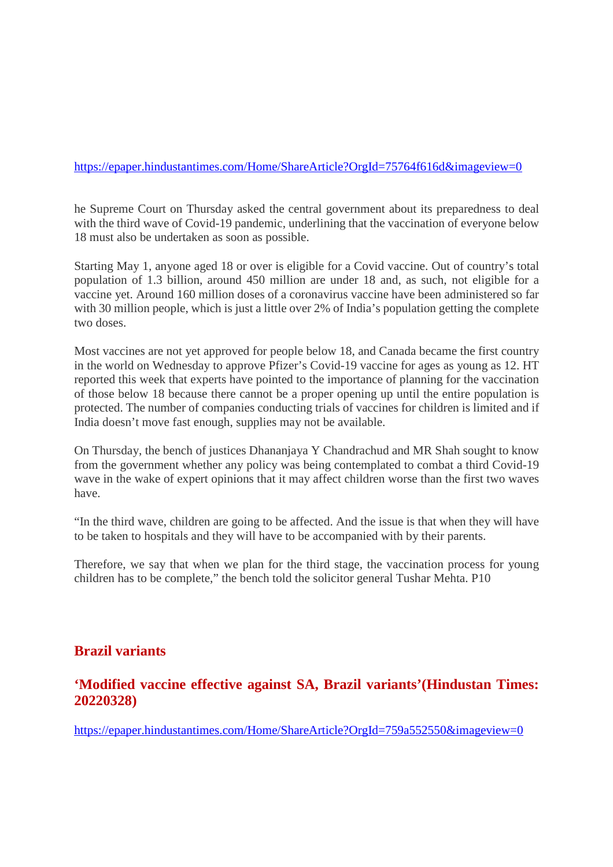#### https://epaper.hindustantimes.com/Home/ShareArticle?OrgId=75764f616d&imageview=0

he Supreme Court on Thursday asked the central government about its preparedness to deal with the third wave of Covid-19 pandemic, underlining that the vaccination of everyone below 18 must also be undertaken as soon as possible.

Starting May 1, anyone aged 18 or over is eligible for a Covid vaccine. Out of country's total population of 1.3 billion, around 450 million are under 18 and, as such, not eligible for a vaccine yet. Around 160 million doses of a coronavirus vaccine have been administered so far with 30 million people, which is just a little over 2% of India's population getting the complete two doses.

Most vaccines are not yet approved for people below 18, and Canada became the first country in the world on Wednesday to approve Pfizer's Covid-19 vaccine for ages as young as 12. HT reported this week that experts have pointed to the importance of planning for the vaccination of those below 18 because there cannot be a proper opening up until the entire population is protected. The number of companies conducting trials of vaccines for children is limited and if India doesn't move fast enough, supplies may not be available.

On Thursday, the bench of justices Dhananjaya Y Chandrachud and MR Shah sought to know from the government whether any policy was being contemplated to combat a third Covid-19 wave in the wake of expert opinions that it may affect children worse than the first two waves have.

"In the third wave, children are going to be affected. And the issue is that when they will have to be taken to hospitals and they will have to be accompanied with by their parents.

Therefore, we say that when we plan for the third stage, the vaccination process for young children has to be complete," the bench told the solicitor general Tushar Mehta. P10

#### **Brazil variants**

#### **'Modified vaccine effective against SA, Brazil variants'(Hindustan Times: 20220328)**

https://epaper.hindustantimes.com/Home/ShareArticle?OrgId=759a552550&imageview=0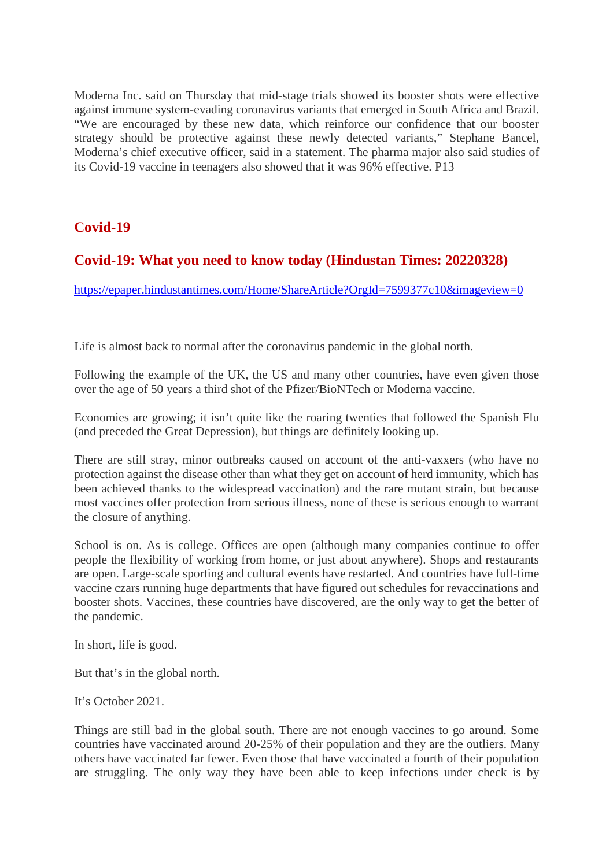Moderna Inc. said on Thursday that mid-stage trials showed its booster shots were effective against immune system-evading coronavirus variants that emerged in South Africa and Brazil. "We are encouraged by these new data, which reinforce our confidence that our booster strategy should be protective against these newly detected variants," Stephane Bancel, Moderna's chief executive officer, said in a statement. The pharma major also said studies of its Covid-19 vaccine in teenagers also showed that it was 96% effective. P13

# **Covid-19**

# **Covid-19: What you need to know today (Hindustan Times: 20220328)**

https://epaper.hindustantimes.com/Home/ShareArticle?OrgId=7599377c10&imageview=0

Life is almost back to normal after the coronavirus pandemic in the global north.

Following the example of the UK, the US and many other countries, have even given those over the age of 50 years a third shot of the Pfizer/BioNTech or Moderna vaccine.

Economies are growing; it isn't quite like the roaring twenties that followed the Spanish Flu (and preceded the Great Depression), but things are definitely looking up.

There are still stray, minor outbreaks caused on account of the anti-vaxxers (who have no protection against the disease other than what they get on account of herd immunity, which has been achieved thanks to the widespread vaccination) and the rare mutant strain, but because most vaccines offer protection from serious illness, none of these is serious enough to warrant the closure of anything.

School is on. As is college. Offices are open (although many companies continue to offer people the flexibility of working from home, or just about anywhere). Shops and restaurants are open. Large-scale sporting and cultural events have restarted. And countries have full-time vaccine czars running huge departments that have figured out schedules for revaccinations and booster shots. Vaccines, these countries have discovered, are the only way to get the better of the pandemic.

In short, life is good.

But that's in the global north.

It's October 2021.

Things are still bad in the global south. There are not enough vaccines to go around. Some countries have vaccinated around 20-25% of their population and they are the outliers. Many others have vaccinated far fewer. Even those that have vaccinated a fourth of their population are struggling. The only way they have been able to keep infections under check is by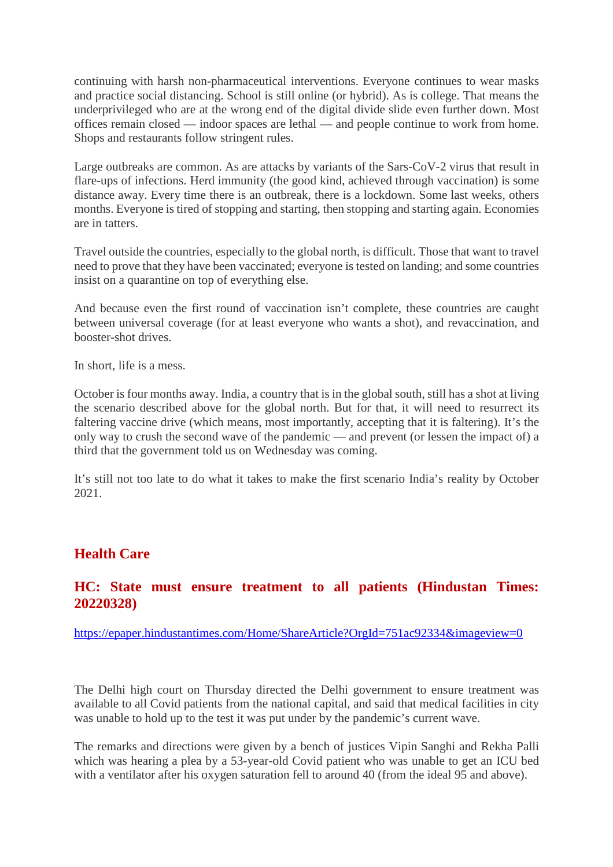continuing with harsh non-pharmaceutical interventions. Everyone continues to wear masks and practice social distancing. School is still online (or hybrid). As is college. That means the underprivileged who are at the wrong end of the digital divide slide even further down. Most offices remain closed — indoor spaces are lethal — and people continue to work from home. Shops and restaurants follow stringent rules.

Large outbreaks are common. As are attacks by variants of the Sars-CoV-2 virus that result in flare-ups of infections. Herd immunity (the good kind, achieved through vaccination) is some distance away. Every time there is an outbreak, there is a lockdown. Some last weeks, others months. Everyone is tired of stopping and starting, then stopping and starting again. Economies are in tatters.

Travel outside the countries, especially to the global north, is difficult. Those that want to travel need to prove that they have been vaccinated; everyone is tested on landing; and some countries insist on a quarantine on top of everything else.

And because even the first round of vaccination isn't complete, these countries are caught between universal coverage (for at least everyone who wants a shot), and revaccination, and booster-shot drives.

In short, life is a mess.

October is four months away. India, a country that is in the global south, still has a shot at living the scenario described above for the global north. But for that, it will need to resurrect its faltering vaccine drive (which means, most importantly, accepting that it is faltering). It's the only way to crush the second wave of the pandemic — and prevent (or lessen the impact of) a third that the government told us on Wednesday was coming.

It's still not too late to do what it takes to make the first scenario India's reality by October 2021.

# **Health Care**

#### **HC: State must ensure treatment to all patients (Hindustan Times: 20220328)**

https://epaper.hindustantimes.com/Home/ShareArticle?OrgId=751ac92334&imageview=0

The Delhi high court on Thursday directed the Delhi government to ensure treatment was available to all Covid patients from the national capital, and said that medical facilities in city was unable to hold up to the test it was put under by the pandemic's current wave.

The remarks and directions were given by a bench of justices Vipin Sanghi and Rekha Palli which was hearing a plea by a 53-year-old Covid patient who was unable to get an ICU bed with a ventilator after his oxygen saturation fell to around 40 (from the ideal 95 and above).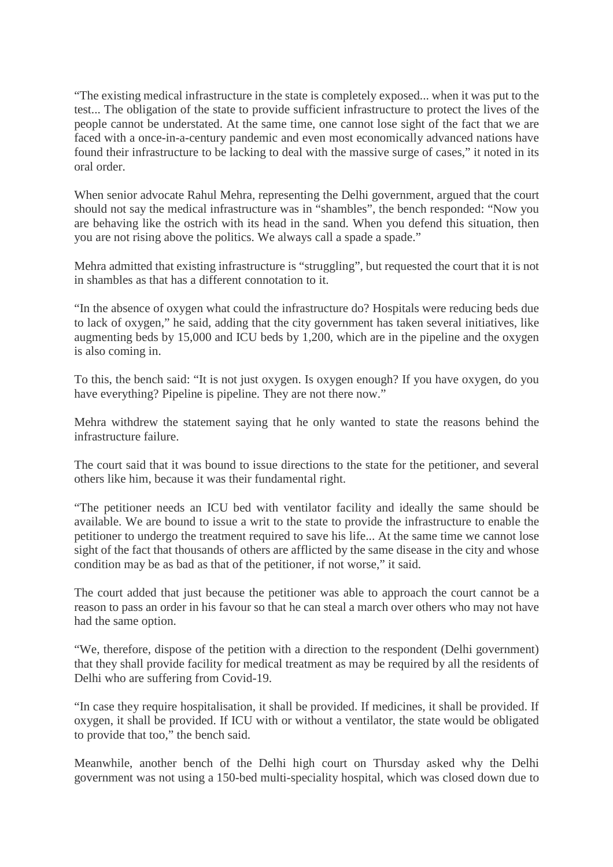"The existing medical infrastructure in the state is completely exposed... when it was put to the test... The obligation of the state to provide sufficient infrastructure to protect the lives of the people cannot be understated. At the same time, one cannot lose sight of the fact that we are faced with a once-in-a-century pandemic and even most economically advanced nations have found their infrastructure to be lacking to deal with the massive surge of cases," it noted in its oral order.

When senior advocate Rahul Mehra, representing the Delhi government, argued that the court should not say the medical infrastructure was in "shambles", the bench responded: "Now you are behaving like the ostrich with its head in the sand. When you defend this situation, then you are not rising above the politics. We always call a spade a spade."

Mehra admitted that existing infrastructure is "struggling", but requested the court that it is not in shambles as that has a different connotation to it.

"In the absence of oxygen what could the infrastructure do? Hospitals were reducing beds due to lack of oxygen," he said, adding that the city government has taken several initiatives, like augmenting beds by 15,000 and ICU beds by 1,200, which are in the pipeline and the oxygen is also coming in.

To this, the bench said: "It is not just oxygen. Is oxygen enough? If you have oxygen, do you have everything? Pipeline is pipeline. They are not there now."

Mehra withdrew the statement saying that he only wanted to state the reasons behind the infrastructure failure.

The court said that it was bound to issue directions to the state for the petitioner, and several others like him, because it was their fundamental right.

"The petitioner needs an ICU bed with ventilator facility and ideally the same should be available. We are bound to issue a writ to the state to provide the infrastructure to enable the petitioner to undergo the treatment required to save his life... At the same time we cannot lose sight of the fact that thousands of others are afflicted by the same disease in the city and whose condition may be as bad as that of the petitioner, if not worse," it said.

The court added that just because the petitioner was able to approach the court cannot be a reason to pass an order in his favour so that he can steal a march over others who may not have had the same option.

"We, therefore, dispose of the petition with a direction to the respondent (Delhi government) that they shall provide facility for medical treatment as may be required by all the residents of Delhi who are suffering from Covid-19.

"In case they require hospitalisation, it shall be provided. If medicines, it shall be provided. If oxygen, it shall be provided. If ICU with or without a ventilator, the state would be obligated to provide that too," the bench said.

Meanwhile, another bench of the Delhi high court on Thursday asked why the Delhi government was not using a 150-bed multi-speciality hospital, which was closed down due to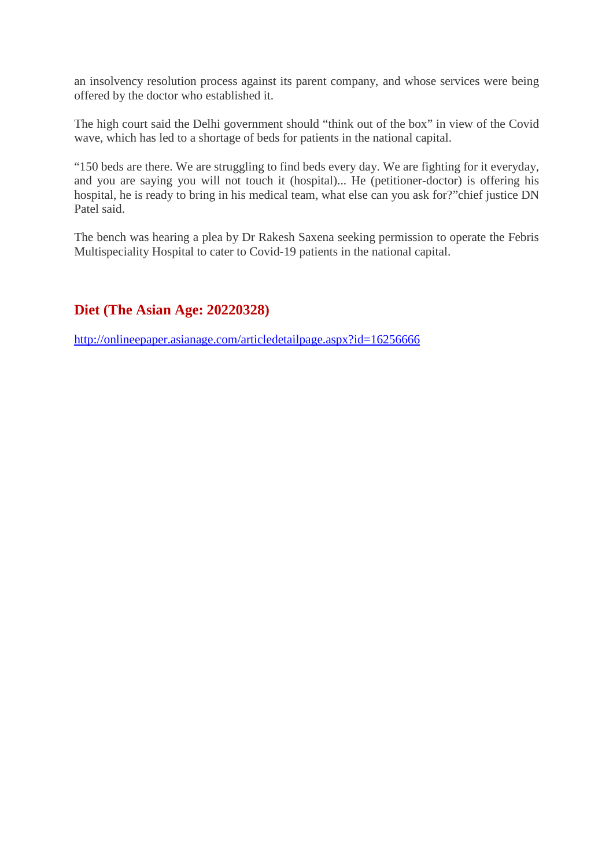an insolvency resolution process against its parent company, and whose services were being offered by the doctor who established it.

The high court said the Delhi government should "think out of the box" in view of the Covid wave, which has led to a shortage of beds for patients in the national capital.

"150 beds are there. We are struggling to find beds every day. We are fighting for it everyday, and you are saying you will not touch it (hospital)... He (petitioner-doctor) is offering his hospital, he is ready to bring in his medical team, what else can you ask for?"chief justice DN Patel said.

The bench was hearing a plea by Dr Rakesh Saxena seeking permission to operate the Febris Multispeciality Hospital to cater to Covid-19 patients in the national capital.

# **Diet (The Asian Age: 20220328)**

http://onlineepaper.asianage.com/articledetailpage.aspx?id=16256666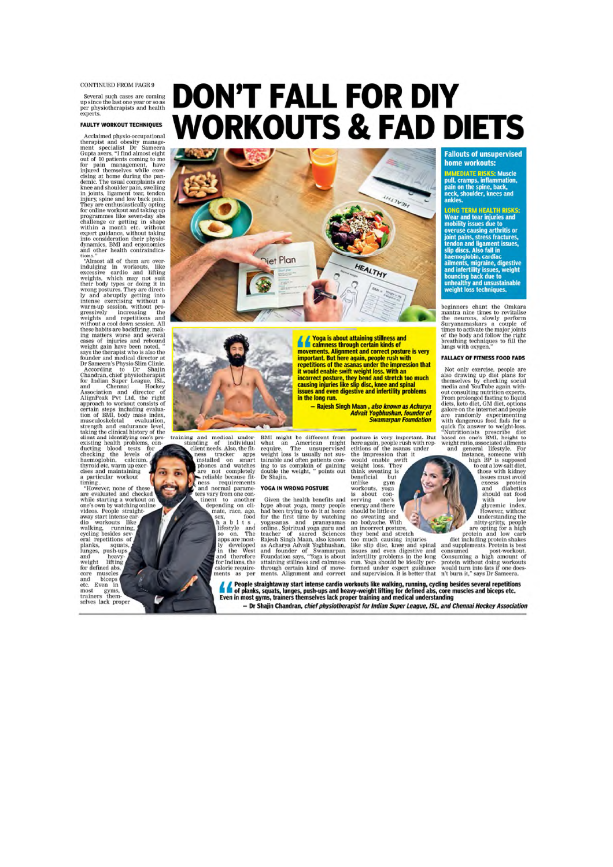**CONTINUED FROM PAGE 9** 

Several such cases are coming up since the last one year or so as<br>per physiotherapists and health experts.

#### **FAULTY WORKOUT TECHNIQUES**

**FAULTY WORKOUT TECHNIQUES**<br>Acclaimed physio-occupational<br>therapist and obesity manage-<br>ment specialist Dr Sameera<br>ment specialist Dr Sameera<br>Gupta avers, "I find almost eight<br>for pair on management, have<br>for paint of 10

eynamics, BMI and ergonomics<br>and other health containdica-<br>and other health containdica-<br>tions." Almost all of them are over-<br>indulging in worbouts, like<br>excessive cardio and lifting<br>weights, which may not suit<br>their body certain steps including evaluation of BMI, body mass index.

eptrain steps including evaluation of BMI, body mass index<br>tertain steps including evaluation, taking the climate level and endurance level<br>terms that all the constant and inclusion taking the climate and including<br>the cli Even etc. in most gyms,<br>trainers them-<br>selves lack proper Ŀ

**DON'T FALL FOR DIY WORKOUTS & FAD DIETS** 





training and medical under<br>instanding of individual client needs. Also, the fitter approximate the<br>starter approximate phonons and watches the phonons and watches<br>represent the control of the control of the control of the<br>

sex, food<br>h a b i t s ,<br>lifestyle and<br>so on. The<br>apps are most-<br>ly developed in the West and therefore<br>for Indians, the calorie requirements as per

BMI might be different from<br>what an American might require. The unsupervised weight loss is usually not sustainable and often patients com-<br>tainable and often patients com-<br>tain to us complain of gaining to usually not su

in the long run.

#### **YOGA IN WRONG POSTURE**

Found in whomes POSTORE<br>Given the headth benefits and<br>hype about yoga, many people<br>had been trying to do it at home<br>for the first time by watching<br>yogasanas and pranayamas<br>teacher of sacred Sciences<br>tadjosh Singh Maan, als

Advait Yogbhushan, founder of<br>Swamarpan Foundation

**Advait Yogbhushan, founder of**<br> **Swamarpan Foundation**<br> **Swamarpan Foundation**<br> **Swamarpan Foundation**<br>
<br>
suick fix answer to weight loss<br>
or the again, people runsh with respect the dist of respecting<br>
equick fix answer

**Yoga is about attaining stillness and<br>calmness through certain kinds of** movements. Alignment and correct posture is very moortents. Augmenten and correct positive is very<br>important. But here again, people rush with<br>repetitions of the asanas under the impression that<br>it would enable swift weight loss. With an

is would entail be provided and stretch too much<br>causing injuries like slip disc, knee and spinal<br>issues and even digestive and infertility problems

- Rajesh Singh Maan, also known as Acharya

#### **Fallouts of unsupervised** home workouts:

**IMMEDIATE RISKS:** Muscle<br>pull, cramps, inflammation,<br>pain on the spine, back,<br>neck, shoulder, knees and<br>ankles.

ankles.<br> **LOMG TERM HEALTH RISKS:**<br> **LOMG TERM HEALTH RISKS:**<br>
Wear and tear injuries and<br>
mobility issues due to<br>
overuse causing arthritis or<br>
joint pains, stress fractures,<br>
stip discs. Also fall in<br>
thermoglobin, cardi

beginners chant the Omkara<br>mantra nine times to revitalise<br>the neurons, slowly perform<br>Suryanamaskars a couple of<br>times to activate the major joints<br>of the body and follow the right<br>breathing techniques to fill the<br>lungs w

#### **FALLACY OF FITNESS FOOD FADS**

Not only exercise, people are<br>also drawing up diet plans for<br>themselves by checking social<br>media and YouTube again with-<br>out consulting nutrition experts.<br>Out consulting the primary definition experiment<br>dists, keto diet,

Supple straightaway start intense cardio workouts like walking, running, cycling besides several repetitions<br>The of planks, squats, lunges, push-ups and heavy-weight lifting for defined abs, core muscles and biceps etc.<br>Ev

- Dr Shajin Chandran, chief physiotherapist for Indian Super League, ISL, and Chennai Hockey Association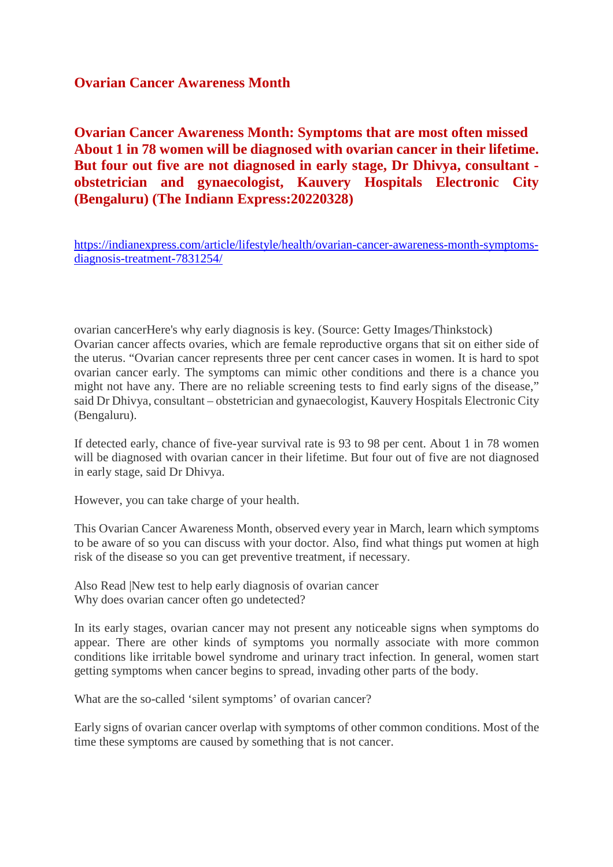#### **Ovarian Cancer Awareness Month**

**Ovarian Cancer Awareness Month: Symptoms that are most often missed About 1 in 78 women will be diagnosed with ovarian cancer in their lifetime. But four out five are not diagnosed in early stage, Dr Dhivya, consultant obstetrician and gynaecologist, Kauvery Hospitals Electronic City (Bengaluru) (The Indiann Express:20220328)**

https://indianexpress.com/article/lifestyle/health/ovarian-cancer-awareness-month-symptomsdiagnosis-treatment-7831254/

ovarian cancerHere's why early diagnosis is key. (Source: Getty Images/Thinkstock) Ovarian cancer affects ovaries, which are female reproductive organs that sit on either side of the uterus. "Ovarian cancer represents three per cent cancer cases in women. It is hard to spot ovarian cancer early. The symptoms can mimic other conditions and there is a chance you might not have any. There are no reliable screening tests to find early signs of the disease," said Dr Dhivya, consultant – obstetrician and gynaecologist, Kauvery Hospitals Electronic City (Bengaluru).

If detected early, chance of five-year survival rate is 93 to 98 per cent. About 1 in 78 women will be diagnosed with ovarian cancer in their lifetime. But four out of five are not diagnosed in early stage, said Dr Dhivya.

However, you can take charge of your health.

This Ovarian Cancer Awareness Month, observed every year in March, learn which symptoms to be aware of so you can discuss with your doctor. Also, find what things put women at high risk of the disease so you can get preventive treatment, if necessary.

Also Read |New test to help early diagnosis of ovarian cancer Why does ovarian cancer often go undetected?

In its early stages, ovarian cancer may not present any noticeable signs when symptoms do appear. There are other kinds of symptoms you normally associate with more common conditions like irritable bowel syndrome and urinary tract infection. In general, women start getting symptoms when cancer begins to spread, invading other parts of the body.

What are the so-called 'silent symptoms' of ovarian cancer?

Early signs of ovarian cancer overlap with symptoms of other common conditions. Most of the time these symptoms are caused by something that is not cancer.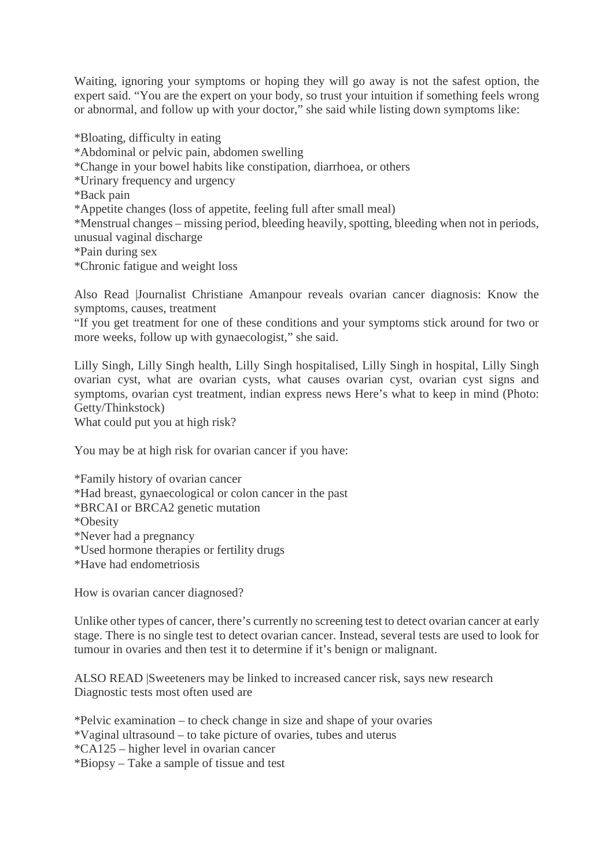Waiting, ignoring your symptoms or hoping they will go away is not the safest option, the expert said. "You are the expert on your body, so trust your intuition if something feels wrong or abnormal, and follow up with your doctor," she said while listing down symptoms like:

\*Bloating, difficulty in eating \*Abdominal or pelvic pain, abdomen swelling \*Change in your bowel habits like constipation, diarrhoea, or others \*Urinary frequency and urgency \*Back pain \*Appetite changes (loss of appetite, feeling full after small meal) \*Menstrual changes – missing period, bleeding heavily, spotting, bleeding when not in periods, unusual vaginal discharge \*Pain during sex \*Chronic fatigue and weight loss

Also Read |Journalist Christiane Amanpour reveals ovarian cancer diagnosis: Know the symptoms, causes, treatment

"If you get treatment for one of these conditions and your symptoms stick around for two or more weeks, follow up with gynaecologist," she said.

Lilly Singh, Lilly Singh health, Lilly Singh hospitalised, Lilly Singh in hospital, Lilly Singh ovarian cyst, what are ovarian cysts, what causes ovarian cyst, ovarian cyst signs and symptoms, ovarian cyst treatment, indian express news Here's what to keep in mind (Photo: Getty/Thinkstock)

What could put you at high risk?

You may be at high risk for ovarian cancer if you have:

\*Family history of ovarian cancer \*Had breast, gynaecological or colon cancer in the past \*BRCAI or BRCA2 genetic mutation \*Obesity \*Never had a pregnancy \*Used hormone therapies or fertility drugs \*Have had endometriosis

How is ovarian cancer diagnosed?

Unlike other types of cancer, there's currently no screening test to detect ovarian cancer at early stage. There is no single test to detect ovarian cancer. Instead, several tests are used to look for tumour in ovaries and then test it to determine if it's benign or malignant.

ALSO READ |Sweeteners may be linked to increased cancer risk, says new research Diagnostic tests most often used are

\*Pelvic examination – to check change in size and shape of your ovaries

\*Vaginal ultrasound – to take picture of ovaries, tubes and uterus

\*CA125 – higher level in ovarian cancer

\*Biopsy – Take a sample of tissue and test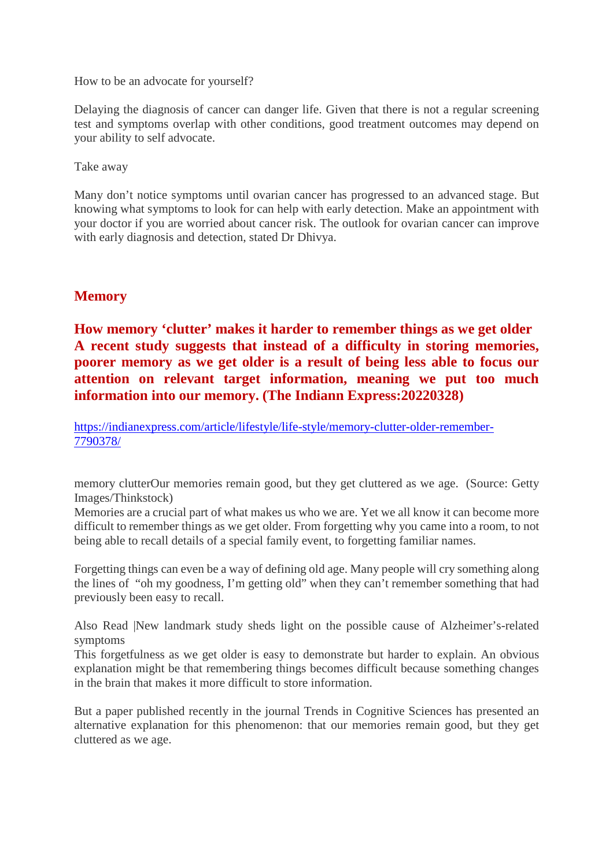How to be an advocate for yourself?

Delaying the diagnosis of cancer can danger life. Given that there is not a regular screening test and symptoms overlap with other conditions, good treatment outcomes may depend on your ability to self advocate.

Take away

Many don't notice symptoms until ovarian cancer has progressed to an advanced stage. But knowing what symptoms to look for can help with early detection. Make an appointment with your doctor if you are worried about cancer risk. The outlook for ovarian cancer can improve with early diagnosis and detection, stated Dr Dhivya.

#### **Memory**

# **How memory 'clutter' makes it harder to remember things as we get older A recent study suggests that instead of a difficulty in storing memories, poorer memory as we get older is a result of being less able to focus our attention on relevant target information, meaning we put too much information into our memory. (The Indiann Express:20220328)**

https://indianexpress.com/article/lifestyle/life-style/memory-clutter-older-remember-7790378/

memory clutterOur memories remain good, but they get cluttered as we age. (Source: Getty Images/Thinkstock)

Memories are a crucial part of what makes us who we are. Yet we all know it can become more difficult to remember things as we get older. From forgetting why you came into a room, to not being able to recall details of a special family event, to forgetting familiar names.

Forgetting things can even be a way of defining old age. Many people will cry something along the lines of "oh my goodness, I'm getting old" when they can't remember something that had previously been easy to recall.

Also Read |New landmark study sheds light on the possible cause of Alzheimer's-related symptoms

This forgetfulness as we get older is easy to demonstrate but harder to explain. An obvious explanation might be that remembering things becomes difficult because something changes in the brain that makes it more difficult to store information.

But a paper published recently in the journal Trends in Cognitive Sciences has presented an alternative explanation for this phenomenon: that our memories remain good, but they get cluttered as we age.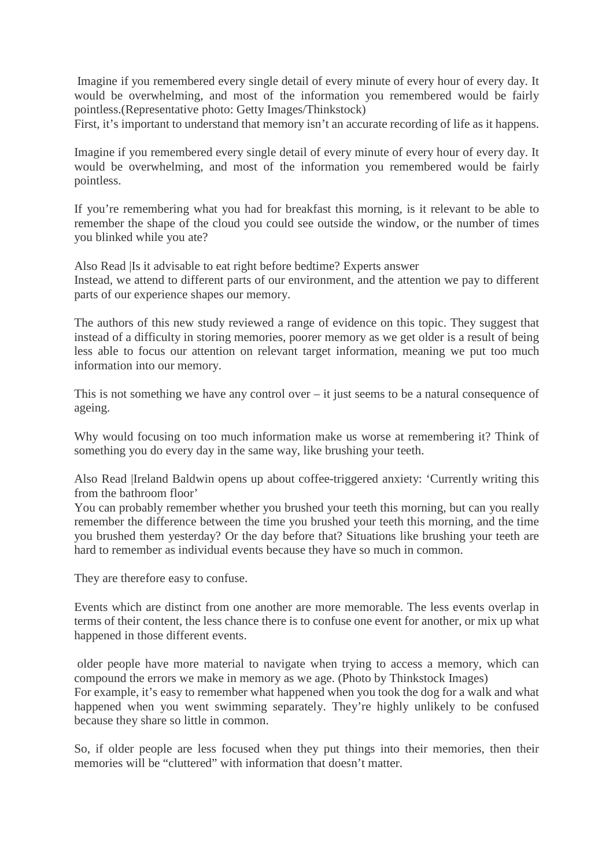Imagine if you remembered every single detail of every minute of every hour of every day. It would be overwhelming, and most of the information you remembered would be fairly pointless.(Representative photo: Getty Images/Thinkstock)

First, it's important to understand that memory isn't an accurate recording of life as it happens.

Imagine if you remembered every single detail of every minute of every hour of every day. It would be overwhelming, and most of the information you remembered would be fairly pointless.

If you're remembering what you had for breakfast this morning, is it relevant to be able to remember the shape of the cloud you could see outside the window, or the number of times you blinked while you ate?

Also Read |Is it advisable to eat right before bedtime? Experts answer Instead, we attend to different parts of our environment, and the attention we pay to different parts of our experience shapes our memory.

The authors of this new study reviewed a range of evidence on this topic. They suggest that instead of a difficulty in storing memories, poorer memory as we get older is a result of being less able to focus our attention on relevant target information, meaning we put too much information into our memory.

This is not something we have any control over – it just seems to be a natural consequence of ageing.

Why would focusing on too much information make us worse at remembering it? Think of something you do every day in the same way, like brushing your teeth.

Also Read |Ireland Baldwin opens up about coffee-triggered anxiety: 'Currently writing this from the bathroom floor'

You can probably remember whether you brushed your teeth this morning, but can you really remember the difference between the time you brushed your teeth this morning, and the time you brushed them yesterday? Or the day before that? Situations like brushing your teeth are hard to remember as individual events because they have so much in common.

They are therefore easy to confuse.

because they share so little in common.

Events which are distinct from one another are more memorable. The less events overlap in terms of their content, the less chance there is to confuse one event for another, or mix up what happened in those different events.

older people have more material to navigate when trying to access a memory, which can compound the errors we make in memory as we age. (Photo by Thinkstock Images) For example, it's easy to remember what happened when you took the dog for a walk and what happened when you went swimming separately. They're highly unlikely to be confused

So, if older people are less focused when they put things into their memories, then their memories will be "cluttered" with information that doesn't matter.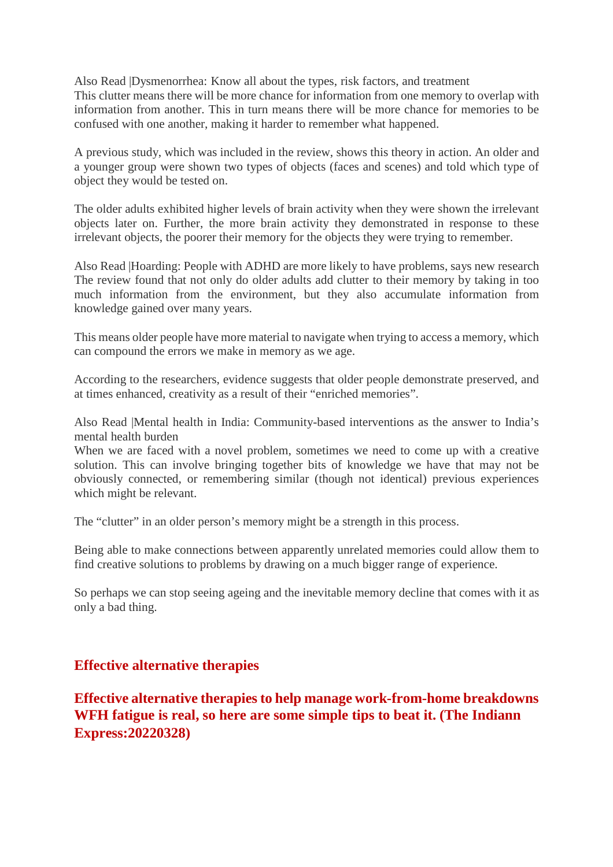Also Read |Dysmenorrhea: Know all about the types, risk factors, and treatment This clutter means there will be more chance for information from one memory to overlap with information from another. This in turn means there will be more chance for memories to be confused with one another, making it harder to remember what happened.

A previous study, which was included in the review, shows this theory in action. An older and a younger group were shown two types of objects (faces and scenes) and told which type of object they would be tested on.

The older adults exhibited higher levels of brain activity when they were shown the irrelevant objects later on. Further, the more brain activity they demonstrated in response to these irrelevant objects, the poorer their memory for the objects they were trying to remember.

Also Read |Hoarding: People with ADHD are more likely to have problems, says new research The review found that not only do older adults add clutter to their memory by taking in too much information from the environment, but they also accumulate information from knowledge gained over many years.

This means older people have more material to navigate when trying to access a memory, which can compound the errors we make in memory as we age.

According to the researchers, evidence suggests that older people demonstrate preserved, and at times enhanced, creativity as a result of their "enriched memories".

Also Read |Mental health in India: Community-based interventions as the answer to India's mental health burden

When we are faced with a novel problem, sometimes we need to come up with a creative solution. This can involve bringing together bits of knowledge we have that may not be obviously connected, or remembering similar (though not identical) previous experiences which might be relevant.

The "clutter" in an older person's memory might be a strength in this process.

Being able to make connections between apparently unrelated memories could allow them to find creative solutions to problems by drawing on a much bigger range of experience.

So perhaps we can stop seeing ageing and the inevitable memory decline that comes with it as only a bad thing.

#### **Effective alternative therapies**

**Effective alternative therapies to help manage work-from-home breakdowns WFH fatigue is real, so here are some simple tips to beat it. (The Indiann Express:20220328)**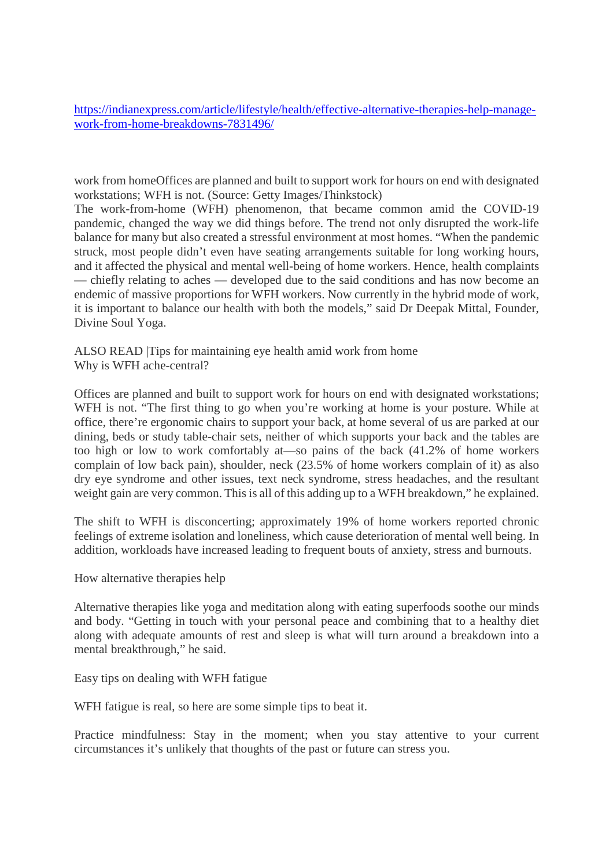https://indianexpress.com/article/lifestyle/health/effective-alternative-therapies-help-managework-from-home-breakdowns-7831496/

work from homeOffices are planned and built to support work for hours on end with designated workstations; WFH is not. (Source: Getty Images/Thinkstock)

The work-from-home (WFH) phenomenon, that became common amid the COVID-19 pandemic, changed the way we did things before. The trend not only disrupted the work-life balance for many but also created a stressful environment at most homes. "When the pandemic struck, most people didn't even have seating arrangements suitable for long working hours, and it affected the physical and mental well-being of home workers. Hence, health complaints — chiefly relating to aches — developed due to the said conditions and has now become an endemic of massive proportions for WFH workers. Now currently in the hybrid mode of work, it is important to balance our health with both the models," said Dr Deepak Mittal, Founder, Divine Soul Yoga.

ALSO READ |Tips for maintaining eye health amid work from home Why is WFH ache-central?

Offices are planned and built to support work for hours on end with designated workstations; WFH is not. "The first thing to go when you're working at home is your posture. While at office, there're ergonomic chairs to support your back, at home several of us are parked at our dining, beds or study table-chair sets, neither of which supports your back and the tables are too high or low to work comfortably at—so pains of the back (41.2% of home workers complain of low back pain), shoulder, neck (23.5% of home workers complain of it) as also dry eye syndrome and other issues, text neck syndrome, stress headaches, and the resultant weight gain are very common. This is all of this adding up to a WFH breakdown," he explained.

The shift to WFH is disconcerting; approximately 19% of home workers reported chronic feelings of extreme isolation and loneliness, which cause deterioration of mental well being. In addition, workloads have increased leading to frequent bouts of anxiety, stress and burnouts.

How alternative therapies help

Alternative therapies like yoga and meditation along with eating superfoods soothe our minds and body. "Getting in touch with your personal peace and combining that to a healthy diet along with adequate amounts of rest and sleep is what will turn around a breakdown into a mental breakthrough," he said.

Easy tips on dealing with WFH fatigue

WFH fatigue is real, so here are some simple tips to beat it.

Practice mindfulness: Stay in the moment; when you stay attentive to your current circumstances it's unlikely that thoughts of the past or future can stress you.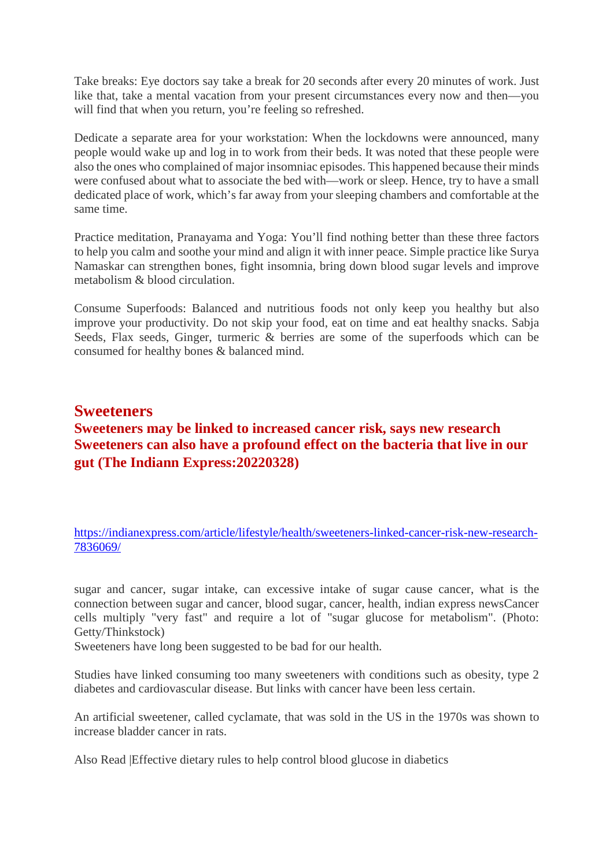Take breaks: Eye doctors say take a break for 20 seconds after every 20 minutes of work. Just like that, take a mental vacation from your present circumstances every now and then—you will find that when you return, you're feeling so refreshed.

Dedicate a separate area for your workstation: When the lockdowns were announced, many people would wake up and log in to work from their beds. It was noted that these people were also the ones who complained of major insomniac episodes. This happened because their minds were confused about what to associate the bed with—work or sleep. Hence, try to have a small dedicated place of work, which's far away from your sleeping chambers and comfortable at the same time.

Practice meditation, Pranayama and Yoga: You'll find nothing better than these three factors to help you calm and soothe your mind and align it with inner peace. Simple practice like Surya Namaskar can strengthen bones, fight insomnia, bring down blood sugar levels and improve metabolism & blood circulation.

Consume Superfoods: Balanced and nutritious foods not only keep you healthy but also improve your productivity. Do not skip your food, eat on time and eat healthy snacks. Sabja Seeds, Flax seeds, Ginger, turmeric & berries are some of the superfoods which can be consumed for healthy bones & balanced mind.

# **Sweeteners Sweeteners may be linked to increased cancer risk, says new research Sweeteners can also have a profound effect on the bacteria that live in our gut (The Indiann Express:20220328)**

https://indianexpress.com/article/lifestyle/health/sweeteners-linked-cancer-risk-new-research-7836069/

sugar and cancer, sugar intake, can excessive intake of sugar cause cancer, what is the connection between sugar and cancer, blood sugar, cancer, health, indian express newsCancer cells multiply "very fast" and require a lot of "sugar glucose for metabolism". (Photo: Getty/Thinkstock)

Sweeteners have long been suggested to be bad for our health.

Studies have linked consuming too many sweeteners with conditions such as obesity, type 2 diabetes and cardiovascular disease. But links with cancer have been less certain.

An artificial sweetener, called cyclamate, that was sold in the US in the 1970s was shown to increase bladder cancer in rats.

Also Read |Effective dietary rules to help control blood glucose in diabetics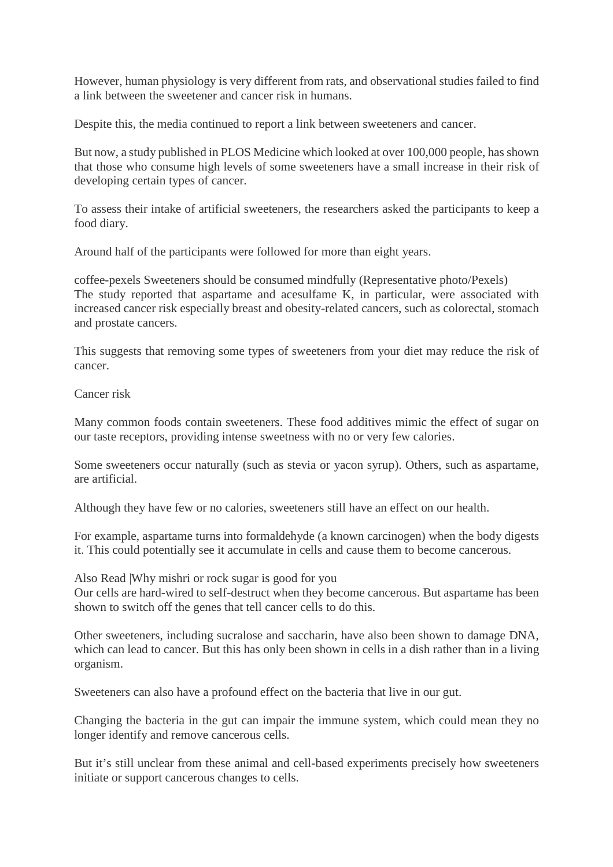However, human physiology is very different from rats, and observational studies failed to find a link between the sweetener and cancer risk in humans.

Despite this, the media continued to report a link between sweeteners and cancer.

But now, a study published in PLOS Medicine which looked at over 100,000 people, has shown that those who consume high levels of some sweeteners have a small increase in their risk of developing certain types of cancer.

To assess their intake of artificial sweeteners, the researchers asked the participants to keep a food diary.

Around half of the participants were followed for more than eight years.

coffee-pexels Sweeteners should be consumed mindfully (Representative photo/Pexels) The study reported that aspartame and acesulfame K, in particular, were associated with increased cancer risk especially breast and obesity-related cancers, such as colorectal, stomach and prostate cancers.

This suggests that removing some types of sweeteners from your diet may reduce the risk of cancer.

Cancer risk

Many common foods contain sweeteners. These food additives mimic the effect of sugar on our taste receptors, providing intense sweetness with no or very few calories.

Some sweeteners occur naturally (such as stevia or yacon syrup). Others, such as aspartame, are artificial.

Although they have few or no calories, sweeteners still have an effect on our health.

For example, aspartame turns into formaldehyde (a known carcinogen) when the body digests it. This could potentially see it accumulate in cells and cause them to become cancerous.

Also Read |Why mishri or rock sugar is good for you

Our cells are hard-wired to self-destruct when they become cancerous. But aspartame has been shown to switch off the genes that tell cancer cells to do this.

Other sweeteners, including sucralose and saccharin, have also been shown to damage DNA, which can lead to cancer. But this has only been shown in cells in a dish rather than in a living organism.

Sweeteners can also have a profound effect on the bacteria that live in our gut.

Changing the bacteria in the gut can impair the immune system, which could mean they no longer identify and remove cancerous cells.

But it's still unclear from these animal and cell-based experiments precisely how sweeteners initiate or support cancerous changes to cells.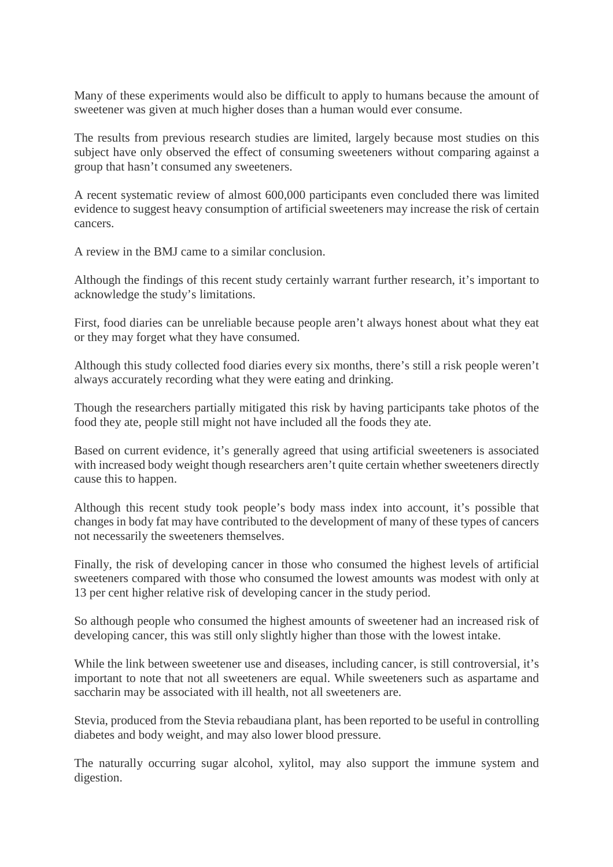Many of these experiments would also be difficult to apply to humans because the amount of sweetener was given at much higher doses than a human would ever consume.

The results from previous research studies are limited, largely because most studies on this subject have only observed the effect of consuming sweeteners without comparing against a group that hasn't consumed any sweeteners.

A recent systematic review of almost 600,000 participants even concluded there was limited evidence to suggest heavy consumption of artificial sweeteners may increase the risk of certain cancers.

A review in the BMJ came to a similar conclusion.

Although the findings of this recent study certainly warrant further research, it's important to acknowledge the study's limitations.

First, food diaries can be unreliable because people aren't always honest about what they eat or they may forget what they have consumed.

Although this study collected food diaries every six months, there's still a risk people weren't always accurately recording what they were eating and drinking.

Though the researchers partially mitigated this risk by having participants take photos of the food they ate, people still might not have included all the foods they ate.

Based on current evidence, it's generally agreed that using artificial sweeteners is associated with increased body weight though researchers aren't quite certain whether sweeteners directly cause this to happen.

Although this recent study took people's body mass index into account, it's possible that changes in body fat may have contributed to the development of many of these types of cancers not necessarily the sweeteners themselves.

Finally, the risk of developing cancer in those who consumed the highest levels of artificial sweeteners compared with those who consumed the lowest amounts was modest with only at 13 per cent higher relative risk of developing cancer in the study period.

So although people who consumed the highest amounts of sweetener had an increased risk of developing cancer, this was still only slightly higher than those with the lowest intake.

While the link between sweetener use and diseases, including cancer, is still controversial, it's important to note that not all sweeteners are equal. While sweeteners such as aspartame and saccharin may be associated with ill health, not all sweeteners are.

Stevia, produced from the Stevia rebaudiana plant, has been reported to be useful in controlling diabetes and body weight, and may also lower blood pressure.

The naturally occurring sugar alcohol, xylitol, may also support the immune system and digestion.